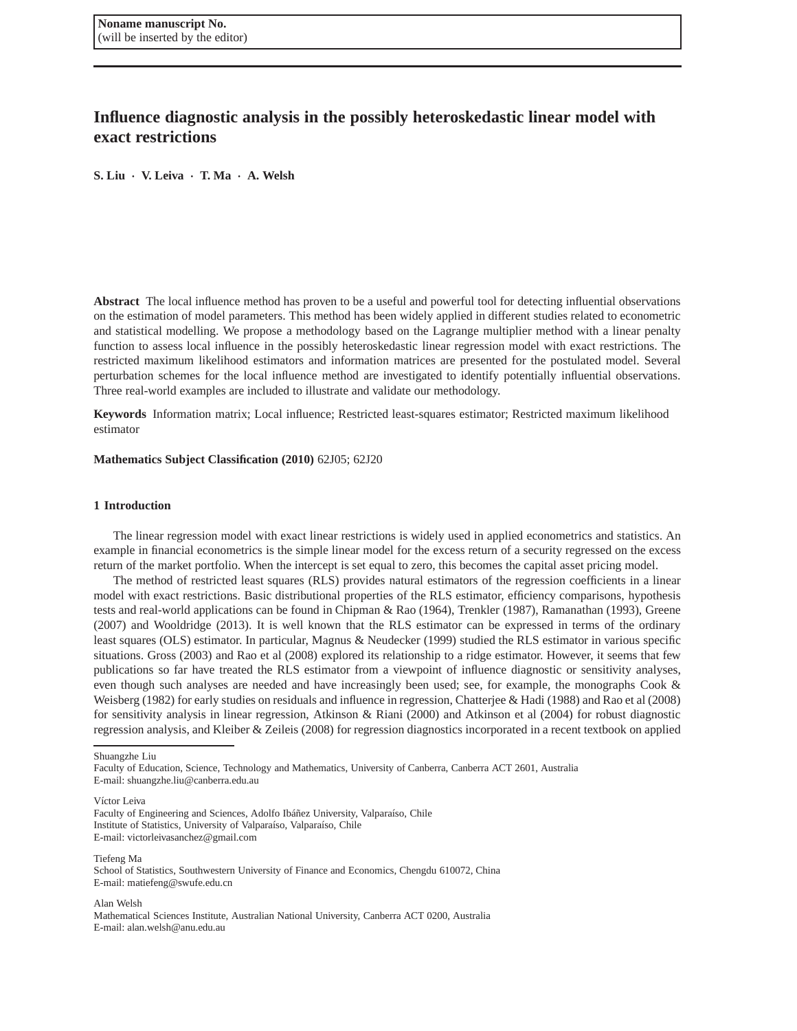# **Influence diagnostic analysis in the possibly heteroskedastic linear model with exact restrictions**

**S. Liu** · **V. Leiva** · **T. Ma** · **A. Welsh**

**Abstract** The local influence method has proven to be a useful and powerful tool for detecting influential observations on the estimation of model parameters. This method has been widely applied in different studies related to econometric and statistical modelling. We propose a methodology based on the Lagrange multiplier method with a linear penalty function to assess local influence in the possibly heteroskedastic linear regression model with exact restrictions. The restricted maximum likelihood estimators and information matrices are presented for the postulated model. Several perturbation schemes for the local influence method are investigated to identify potentially influential observations. Three real-world examples are included to illustrate and validate our methodology.

**Keywords** Information matrix; Local influence; Restricted least-squares estimator; Restricted maximum likelihood estimator

# **Mathematics Subject Classification (2010)** 62J05; 62J20

# **1 Introduction**

The linear regression model with exact linear restrictions is widely used in applied econometrics and statistics. An example in financial econometrics is the simple linear model for the excess return of a security regressed on the excess return of the market portfolio. When the intercept is set equal to zero, this becomes the capital asset pricing model.

The method of restricted least squares (RLS) provides natural estimators of the regression coefficients in a linear model with exact restrictions. Basic distributional properties of the RLS estimator, efficiency comparisons, hypothesis tests and real-world applications can be found in Chipman & Rao (1964), Trenkler (1987), Ramanathan (1993), Greene (2007) and Wooldridge (2013). It is well known that the RLS estimator can be expressed in terms of the ordinary least squares (OLS) estimator. In particular, Magnus & Neudecker (1999) studied the RLS estimator in various specific situations. Gross (2003) and Rao et al (2008) explored its relationship to a ridge estimator. However, it seems that few publications so far have treated the RLS estimator from a viewpoint of influence diagnostic or sensitivity analyses, even though such analyses are needed and have increasingly been used; see, for example, the monographs Cook & Weisberg (1982) for early studies on residuals and influence in regression, Chatterjee & Hadi (1988) and Rao et al (2008) for sensitivity analysis in linear regression, Atkinson & Riani (2000) and Atkinson et al (2004) for robust diagnostic regression analysis, and Kleiber & Zeileis (2008) for regression diagnostics incorporated in a recent textbook on applied

Shuangzhe Liu

Víctor Leiva

Tiefeng Ma School of Statistics, Southwestern University of Finance and Economics, Chengdu 610072, China

E-mail: matiefeng@swufe.edu.cn

Alan Welsh

Mathematical Sciences Institute, Australian National University, Canberra ACT 0200, Australia E-mail: alan.welsh@anu.edu.au

Faculty of Education, Science, Technology and Mathematics, University of Canberra, Canberra ACT 2601, Australia E-mail: shuangzhe.liu@canberra.edu.au

Faculty of Engineering and Sciences, Adolfo Ibáñez University, Valparaíso, Chile Institute of Statistics, University of Valparaíso, Valparaíso, Chile E-mail: victorleivasanchez@gmail.com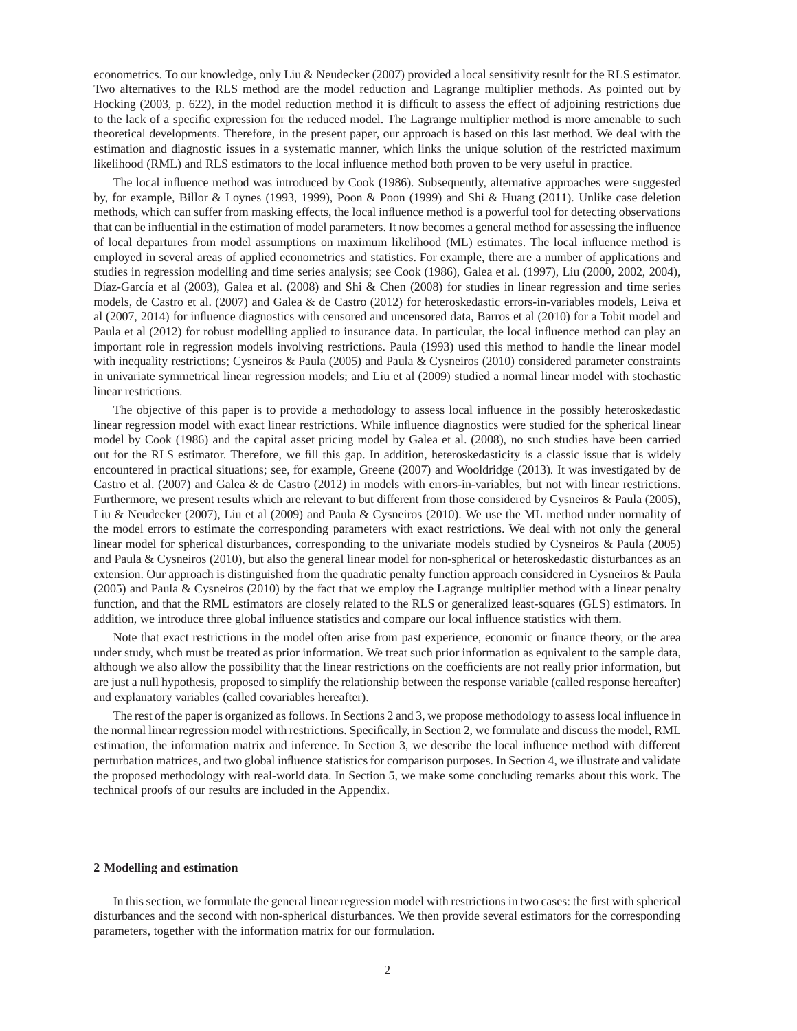econometrics. To our knowledge, only Liu & Neudecker (2007) provided a local sensitivity result for the RLS estimator. Two alternatives to the RLS method are the model reduction and Lagrange multiplier methods. As pointed out by Hocking (2003, p. 622), in the model reduction method it is difficult to assess the effect of adjoining restrictions due to the lack of a specific expression for the reduced model. The Lagrange multiplier method is more amenable to such theoretical developments. Therefore, in the present paper, our approach is based on this last method. We deal with the estimation and diagnostic issues in a systematic manner, which links the unique solution of the restricted maximum likelihood (RML) and RLS estimators to the local influence method both proven to be very useful in practice.

The local influence method was introduced by Cook (1986). Subsequently, alternative approaches were suggested by, for example, Billor & Loynes (1993, 1999), Poon & Poon (1999) and Shi & Huang (2011). Unlike case deletion methods, which can suffer from masking effects, the local influence method is a powerful tool for detecting observations that can be influential in the estimation of model parameters. It now becomes a general method for assessing the influence of local departures from model assumptions on maximum likelihood (ML) estimates. The local influence method is employed in several areas of applied econometrics and statistics. For example, there are a number of applications and studies in regression modelling and time series analysis; see Cook (1986), Galea et al. (1997), Liu (2000, 2002, 2004), Díaz-García et al (2003), Galea et al. (2008) and Shi & Chen (2008) for studies in linear regression and time series models, de Castro et al. (2007) and Galea & de Castro (2012) for heteroskedastic errors-in-variables models, Leiva et al (2007, 2014) for influence diagnostics with censored and uncensored data, Barros et al (2010) for a Tobit model and Paula et al (2012) for robust modelling applied to insurance data. In particular, the local influence method can play an important role in regression models involving restrictions. Paula (1993) used this method to handle the linear model with inequality restrictions; Cysneiros & Paula (2005) and Paula & Cysneiros (2010) considered parameter constraints in univariate symmetrical linear regression models; and Liu et al (2009) studied a normal linear model with stochastic linear restrictions.

The objective of this paper is to provide a methodology to assess local influence in the possibly heteroskedastic linear regression model with exact linear restrictions. While influence diagnostics were studied for the spherical linear model by Cook (1986) and the capital asset pricing model by Galea et al. (2008), no such studies have been carried out for the RLS estimator. Therefore, we fill this gap. In addition, heteroskedasticity is a classic issue that is widely encountered in practical situations; see, for example, Greene (2007) and Wooldridge (2013). It was investigated by de Castro et al. (2007) and Galea & de Castro (2012) in models with errors-in-variables, but not with linear restrictions. Furthermore, we present results which are relevant to but different from those considered by Cysneiros & Paula (2005), Liu & Neudecker (2007), Liu et al (2009) and Paula & Cysneiros (2010). We use the ML method under normality of the model errors to estimate the corresponding parameters with exact restrictions. We deal with not only the general linear model for spherical disturbances, corresponding to the univariate models studied by Cysneiros & Paula (2005) and Paula & Cysneiros (2010), but also the general linear model for non-spherical or heteroskedastic disturbances as an extension. Our approach is distinguished from the quadratic penalty function approach considered in Cysneiros & Paula (2005) and Paula & Cysneiros (2010) by the fact that we employ the Lagrange multiplier method with a linear penalty function, and that the RML estimators are closely related to the RLS or generalized least-squares (GLS) estimators. In addition, we introduce three global influence statistics and compare our local influence statistics with them.

Note that exact restrictions in the model often arise from past experience, economic or finance theory, or the area under study, whch must be treated as prior information. We treat such prior information as equivalent to the sample data, although we also allow the possibility that the linear restrictions on the coefficients are not really prior information, but are just a null hypothesis, proposed to simplify the relationship between the response variable (called response hereafter) and explanatory variables (called covariables hereafter).

The rest of the paper is organized as follows. In Sections 2 and 3, we propose methodology to assess local influence in the normal linear regression model with restrictions. Specifically, in Section 2, we formulate and discuss the model, RML estimation, the information matrix and inference. In Section 3, we describe the local influence method with different perturbation matrices, and two global influence statistics for comparison purposes. In Section 4, we illustrate and validate the proposed methodology with real-world data. In Section 5, we make some concluding remarks about this work. The technical proofs of our results are included in the Appendix.

# **2 Modelling and estimation**

In this section, we formulate the general linear regression model with restrictions in two cases: the first with spherical disturbances and the second with non-spherical disturbances. We then provide several estimators for the corresponding parameters, together with the information matrix for our formulation.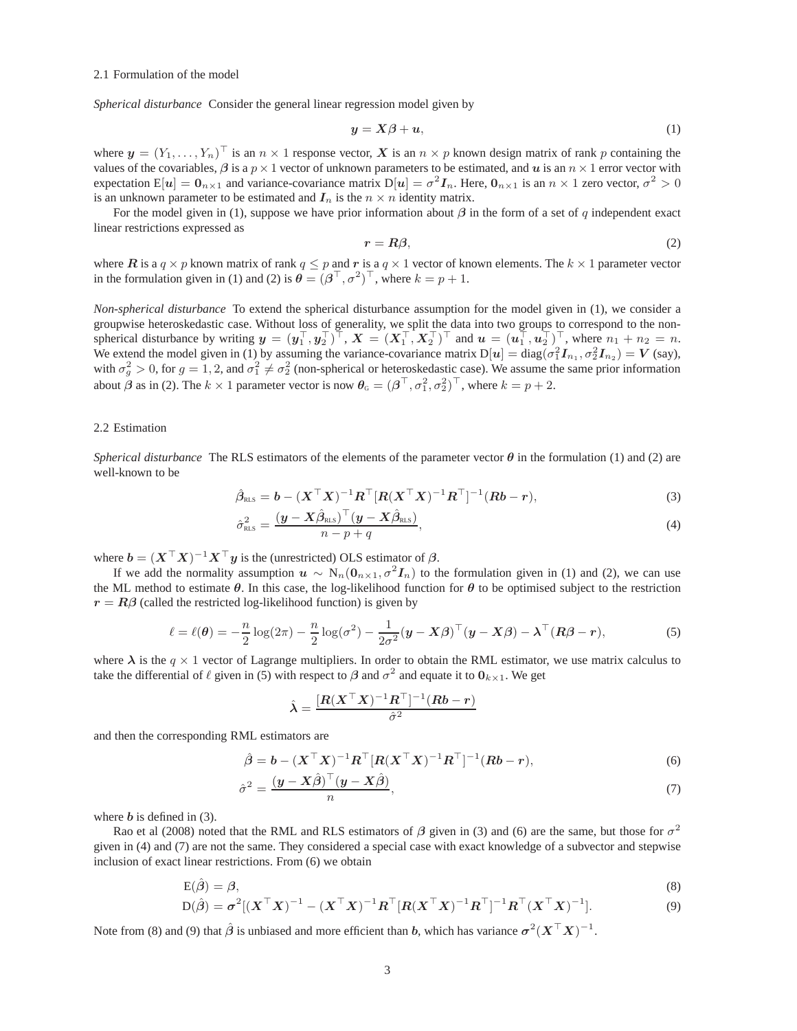#### 2.1 Formulation of the model

*Spherical disturbance* Consider the general linear regression model given by

$$
y = X\beta + u,\tag{1}
$$

where  $y = (Y_1, \ldots, Y_n)^\top$  is an  $n \times 1$  response vector, X is an  $n \times p$  known design matrix of rank p containing the values of the covariables,  $\beta$  is a  $p \times 1$  vector of unknown parameters to be estimated, and u is an  $n \times 1$  error vector with expectation  $E[u] = 0_{n \times 1}$  and variance-covariance matrix  $D[u] = \sigma^2 I_n$ . Here,  $0_{n \times 1}$  is an  $n \times 1$  zero vector,  $\sigma^2 > 0$ is an unknown parameter to be estimated and  $I_n$  is the  $n \times n$  identity matrix.

For the model given in (1), suppose we have prior information about  $\beta$  in the form of a set of q independent exact linear restrictions expressed as

$$
r = R\beta,\tag{2}
$$

where R is a  $q \times p$  known matrix of rank  $q \leq p$  and r is a  $q \times 1$  vector of known elements. The  $k \times 1$  parameter vector in the formulation given in (1) and (2) is  $\theta = (\beta^{\top}, \sigma^2)^{\top}$ , where  $k = p + 1$ .

*Non-spherical disturbance* To extend the spherical disturbance assumption for the model given in (1), we consider a groupwise heteroskedastic case. Without loss of generality, we split the data into two groups to correspond to the nonspherical disturbance by writing  $y = (y_1^\top, y_2^\top)^\top$ ,  $X = (X_1^\top, X_2^\top)^\top$  and  $u = (u_1^\top, u_2^\top)^\top$ , where  $n_1 + n_2 = n$ . We extend the model given in (1) by assuming the variance-covariance matrix  $D[u] = diag(\sigma_1^2 I_{n_1}, \sigma_2^2 I_{n_2}) = V$  (say), with  $\sigma_g^2 > 0$ , for  $g = 1, 2$ , and  $\sigma_1^2 \neq \sigma_2^2$  (non-spherical or heteroskedastic case). We assume the same prior information about  $\beta$  as in (2). The  $k \times 1$  parameter vector is now  $\theta_{\rm G} = (\beta^{\top}, \sigma_1^2, \sigma_2^2)^{\top}$ , where  $k = p + 2$ .

# 2.2 Estimation

*Spherical disturbance* The RLS estimators of the elements of the parameter vector  $\theta$  in the formulation (1) and (2) are well-known to be

$$
\hat{\beta}_{\text{RLS}} = \boldsymbol{b} - (\boldsymbol{X}^\top \boldsymbol{X})^{-1} \boldsymbol{R}^\top [\boldsymbol{R} (\boldsymbol{X}^\top \boldsymbol{X})^{-1} \boldsymbol{R}^\top]^{-1} (\boldsymbol{R} \boldsymbol{b} - \boldsymbol{r}), \tag{3}
$$

$$
\hat{\sigma}_{\text{RLS}}^2 = \frac{(\boldsymbol{y} - \boldsymbol{X}\hat{\beta}_{\text{RLS}})^\top(\boldsymbol{y} - \boldsymbol{X}\hat{\beta}_{\text{RLS}})}{n - p + q},
$$
\n(4)

where  $b = (X^{\top}X)^{-1}X^{\top}y$  is the (unrestricted) OLS estimator of  $\beta$ .

If we add the normality assumption  $u \sim N_n(0_{n \times 1}, \sigma^2 I_n)$  to the formulation given in (1) and (2), we can use the ML method to estimate  $\theta$ . In this case, the log-likelihood function for  $\theta$  to be optimised subject to the restriction  $r = R\beta$  (called the restricted log-likelihood function) is given by

$$
\ell = \ell(\boldsymbol{\theta}) = -\frac{n}{2}\log(2\pi) - \frac{n}{2}\log(\sigma^2) - \frac{1}{2\sigma^2}(\boldsymbol{y} - \boldsymbol{X}\boldsymbol{\beta})^\top(\boldsymbol{y} - \boldsymbol{X}\boldsymbol{\beta}) - \boldsymbol{\lambda}^\top(\boldsymbol{R}\boldsymbol{\beta} - \boldsymbol{r}),
$$
\n(5)

where  $\lambda$  is the  $q \times 1$  vector of Lagrange multipliers. In order to obtain the RML estimator, we use matrix calculus to take the differential of  $\ell$  given in (5) with respect to  $\beta$  and  $\sigma^2$  and equate it to  $\mathbf{0}_{k \times 1}$ . We get

$$
\hat{\lambda} = \frac{[\boldsymbol{R}(\boldsymbol{X}^\top\boldsymbol{X})^{-1}\boldsymbol{R}^\top]^{-1}(\boldsymbol{Rb}-\boldsymbol{r})}{\hat{\sigma}^2}
$$

and then the corresponding RML estimators are

$$
\hat{\beta} = b - (X^\top X)^{-1} R^\top [R(X^\top X)^{-1} R^\top]^{-1} (Rb - r),\tag{6}
$$

$$
\hat{\sigma}^2 = \frac{(\mathbf{y} - \mathbf{X}\hat{\boldsymbol{\beta}})^{\top}(\mathbf{y} - \mathbf{X}\hat{\boldsymbol{\beta}})}{n},\tag{7}
$$

where  $b$  is defined in  $(3)$ .

Rao et al (2008) noted that the RML and RLS estimators of  $\beta$  given in (3) and (6) are the same, but those for  $\sigma^2$ given in (4) and (7) are not the same. They considered a special case with exact knowledge of a subvector and stepwise inclusion of exact linear restrictions. From (6) we obtain

$$
\begin{aligned} \mathcal{E}(\hat{\beta}) &= \beta, \\ \mathcal{D}(\hat{\beta}) &= \sigma^2 \left[ (\boldsymbol{X}^\top \boldsymbol{X})^{-1} - (\boldsymbol{X}^\top \boldsymbol{X})^{-1} \boldsymbol{R}^\top [\boldsymbol{R} (\boldsymbol{X}^\top \boldsymbol{X})^{-1} \boldsymbol{R}^\top]^{-1} \boldsymbol{R}^\top (\boldsymbol{X}^\top \boldsymbol{X})^{-1} \right]. \end{aligned} \tag{8}
$$

 $\mathrm{D}(\hat{\boldsymbol{\beta}}) = \boldsymbol{\sigma}^2[(\boldsymbol{X}^\top\boldsymbol{X})]$  $\mathbf{A}^{-1} - (\mathbf{X}^\top \mathbf{X})^{-1} \mathbf{R}^\top [\mathbf{R} (\mathbf{X}^\top \mathbf{X})^{-1} \mathbf{R}^\top]^{-1} \mathbf{R}^\top (\mathbf{X}^\top \mathbf{X})^{-1}$ 

Note from (8) and (9) that  $\hat{\beta}$  is unbiased and more efficient than b, which has variance  $\sigma^2 (X^\top X)^{-1}$ .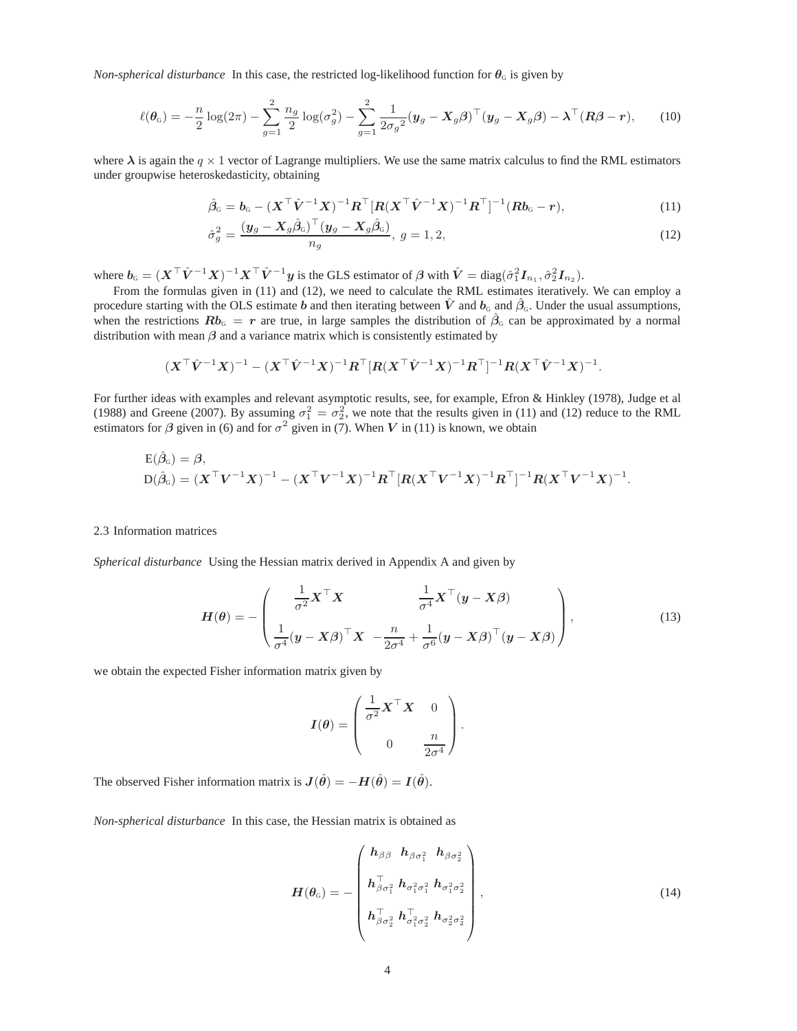*Non-spherical disturbance* In this case, the restricted log-likelihood function for  $\theta_{\rm G}$  is given by

$$
\ell(\boldsymbol{\theta}_G) = -\frac{n}{2}\log(2\pi) - \sum_{g=1}^2 \frac{n_g}{2}\log(\sigma_g^2) - \sum_{g=1}^2 \frac{1}{2\sigma_g^2}(\boldsymbol{y}_g - \boldsymbol{X}_g\boldsymbol{\beta})^\top(\boldsymbol{y}_g - \boldsymbol{X}_g\boldsymbol{\beta}) - \boldsymbol{\lambda}^\top(\boldsymbol{R}\boldsymbol{\beta} - \boldsymbol{r}),\qquad(10)
$$

where  $\lambda$  is again the  $q \times 1$  vector of Lagrange multipliers. We use the same matrix calculus to find the RML estimators under groupwise heteroskedasticity, obtaining

$$
\hat{\beta}_G = b_G - (X^{\top} \hat{V}^{-1} X)^{-1} R^{\top} [R (X^{\top} \hat{V}^{-1} X)^{-1} R^{\top}]^{-1} (R b_G - r),
$$
\n(11)

$$
\hat{\sigma}_g^2 = \frac{(\mathbf{y}_g - \mathbf{X}_g \hat{\beta}_G)^\top (\mathbf{y}_g - \mathbf{X}_g \hat{\beta}_G)}{n_g}, \ g = 1, 2,
$$
\n(12)

where  $b_{\text{\tiny G}} = (X^{\top}\hat{V}^{-1}X)^{-1}X^{\top}\hat{V}^{-1}y$  is the GLS estimator of  $\beta$  with  $\hat{V} = \text{diag}(\hat{\sigma}_1^2 I_{n_1}, \hat{\sigma}_2^2 I_{n_2})$ .

From the formulas given in (11) and (12), we need to calculate the RML estimates iteratively. We can employ a procedure starting with the OLS estimate b and then iterating between  $\hat{V}$  and  $\hat{B}_{G}$ . Under the usual assumptions, when the restrictions  $Rb_G = r$  are true, in large samples the distribution of  $\hat{\beta}_G$  can be approximated by a normal distribution with mean  $\beta$  and a variance matrix which is consistently estimated by

$$
(\boldsymbol X^\top \hat{\boldsymbol V}^{-1} \boldsymbol X)^{-1} - (\boldsymbol X^\top \hat{\boldsymbol V}^{-1} \boldsymbol X)^{-1} \boldsymbol R^\top [\boldsymbol R (\boldsymbol X^\top \hat{\boldsymbol V}^{-1} \boldsymbol X)^{-1} \boldsymbol R^\top]^{-1} \boldsymbol R (\boldsymbol X^\top \hat{\boldsymbol V}^{-1} \boldsymbol X)^{-1}.
$$

For further ideas with examples and relevant asymptotic results, see, for example, Efron & Hinkley (1978), Judge et al (1988) and Greene (2007). By assuming  $\sigma_1^2 = \sigma_2^2$ , we note that the results given in (11) and (12) reduce to the RML estimators for  $\beta$  given in (6) and for  $\sigma^2$  given in (7). When V in (11) is known, we obtain

$$
E(\hat{\beta}_G) = \beta,
$$
  
 
$$
D(\hat{\beta}_G) = (X^{\top}V^{-1}X)^{-1} - (X^{\top}V^{-1}X)^{-1}R^{\top}[R(X^{\top}V^{-1}X)^{-1}R^{\top}]^{-1}R(X^{\top}V^{-1}X)^{-1}.
$$

#### 2.3 Information matrices

*Spherical disturbance* Using the Hessian matrix derived in Appendix A and given by

$$
H(\theta) = -\begin{pmatrix} \frac{1}{\sigma^2} X^{\top} X & \frac{1}{\sigma^4} X^{\top} (y - X\beta) \\ \frac{1}{\sigma^4} (y - X\beta)^{\top} X & -\frac{n}{2\sigma^4} + \frac{1}{\sigma^6} (y - X\beta)^{\top} (y - X\beta) \end{pmatrix},
$$
(13)

we obtain the expected Fisher information matrix given by

$$
I(\theta) = \begin{pmatrix} \frac{1}{\sigma^2} \mathbf{X}^\top \mathbf{X} & 0 \\ 0 & \frac{n}{2\sigma^4} \end{pmatrix}.
$$

The observed Fisher information matrix is  $J(\hat{\theta}) = -H(\hat{\theta}) = I(\hat{\theta})$ .

*Non-spherical disturbance* In this case, the Hessian matrix is obtained as

$$
H(\theta_{\mathrm{G}}) = -\begin{pmatrix} h_{\beta\beta} & h_{\beta\sigma_1^2} & h_{\beta\sigma_2^2} \\ h_{\beta\sigma_1^2}^{\top} & h_{\sigma_1^2\sigma_1^2} & h_{\sigma_1^2\sigma_2^2} \\ h_{\beta\sigma_2^2}^{\top} & h_{\sigma_1^2\sigma_2^2}^{\top} & h_{\sigma_2^2\sigma_2^2} \end{pmatrix},
$$
\n(14)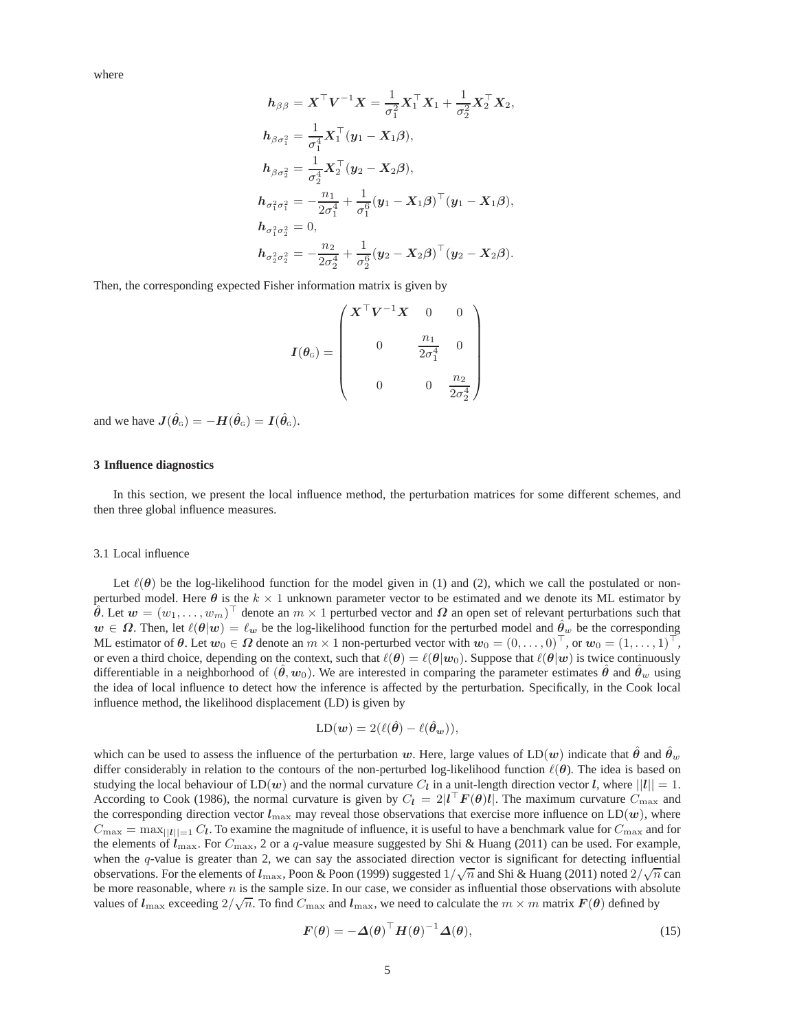where

$$
h_{\beta\beta} = X^{\top}V^{-1}X = \frac{1}{\sigma_1^2}X_1^{\top}X_1 + \frac{1}{\sigma_2^2}X_2^{\top}X_2,
$$
  
\n
$$
h_{\beta\sigma_1^2} = \frac{1}{\sigma_1^4}X_1^{\top}(y_1 - X_1\beta),
$$
  
\n
$$
h_{\beta\sigma_2^2} = \frac{1}{\sigma_2^4}X_2^{\top}(y_2 - X_2\beta),
$$
  
\n
$$
h_{\sigma_1^2\sigma_1^2} = -\frac{n_1}{2\sigma_1^4} + \frac{1}{\sigma_1^6}(y_1 - X_1\beta)^{\top}(y_1 - X_1\beta),
$$
  
\n
$$
h_{\sigma_1^2\sigma_2^2} = 0,
$$
  
\n
$$
h_{\sigma_2^2\sigma_2^2} = -\frac{n_2}{2\sigma_2^4} + \frac{1}{\sigma_2^6}(y_2 - X_2\beta)^{\top}(y_2 - X_2\beta).
$$

Then, the corresponding expected Fisher information matrix is given by

$$
I(\theta_{\text{o}}) = \begin{pmatrix} X^{\top} V^{-1} X & 0 & 0 \\ & & \frac{n_1}{2\sigma_1^4} & 0 \\ & & & \frac{n_2}{2\sigma_2^4} \end{pmatrix}
$$

and we have  $J(\hat{\theta}_{G}) = -H(\hat{\theta}_{G}) = I(\hat{\theta}_{G}).$ 

# **3 Influence diagnostics**

In this section, we present the local influence method, the perturbation matrices for some different schemes, and then three global influence measures.

#### 3.1 Local influence

Let  $\ell(\theta)$  be the log-likelihood function for the model given in (1) and (2), which we call the postulated or nonperturbed model. Here  $\theta$  is the  $k \times 1$  unknown parameter vector to be estimated and we denote its ML estimator by  $\hat{\theta}$ . Let  $w = (w_1, \dots, w_m)^\top$  denote an  $m \times 1$  perturbed vector and  $\Omega$  an open set of relevant perturbations such that  $w \in \Omega$ . Then, let  $\ell(\theta|w) = \ell_w$  be the log-likelihood function for the perturbed model and  $\hat{\theta}_w$  be the corresponding ML estimator of  $\theta$ . Let  $w_0 \in \Omega$  denote an  $m \times 1$  non-perturbed vector with  $w_0 = (0, \ldots, 0)^\top$ , or  $w_0 = (1, \ldots, 1)^\top$ , or even a third choice, depending on the context, such that  $\ell(\theta) = \ell(\theta | w_0)$ . Suppose that  $\ell(\theta | w)$  is twice continuously differentiable in a neighborhood of  $(\hat{\theta}, w_0)$ . We are interested in comparing the parameter estimates  $\hat{\theta}$  and  $\hat{\theta}_w$  using the idea of local influence to detect how the inference is affected by the perturbation. Specifically, in the Cook local influence method, the likelihood displacement (LD) is given by

$$
LD(\boldsymbol{w}) = 2(\ell(\hat{\boldsymbol{\theta}}) - \ell(\hat{\boldsymbol{\theta}}_{\boldsymbol{w}})),
$$

which can be used to assess the influence of the perturbation w. Here, large values of  $LD(w)$  indicate that  $\theta$  and  $\theta_w$ differ considerably in relation to the contours of the non-perturbed log-likelihood function  $\ell(\theta)$ . The idea is based on studying the local behaviour of  $LD(w)$  and the normal curvature  $C_l$  in a unit-length direction vector l, where  $||l|| = 1$ . According to Cook (1986), the normal curvature is given by  $C_l = 2|l^{\top}F(\theta)l|$ . The maximum curvature  $C_{\text{max}}$  and the corresponding direction vector  $l_{\text{max}}$  may reveal those observations that exercise more influence on LD(w), where  $C_{\text{max}} = \max_{||l||=1} C_l$ . To examine the magnitude of influence, it is useful to have a benchmark value for  $C_{\text{max}}$  and for the elements of  $l_{\text{max}}$ . For  $C_{\text{max}}$ , 2 or a q-value measure suggested by Shi & Huang (2011) can be used. For example, when the  $q$ -value is greater than 2, we can say the associated direction vector is significant for detecting influential observations. For the elements of  $l_{\text{max}}$ , Poon & Poon (1999) suggested  $1/\sqrt{n}$  and Shi & Huang (2011) noted  $2/\sqrt{n}$  can be more reasonable, where  $n$  is the sample size. In our case, we consider as influential those observations with absolute values of  $l_{\max}$  exceeding  $2/\sqrt{n}$ . To find  $C_{\max}$  and  $l_{\max}$ , we need to calculate the  $m \times m$  matrix  $F(\theta)$  defined by

$$
F(\theta) = -\Delta(\theta)^{\top} H(\theta)^{-1} \Delta(\theta), \qquad (15)
$$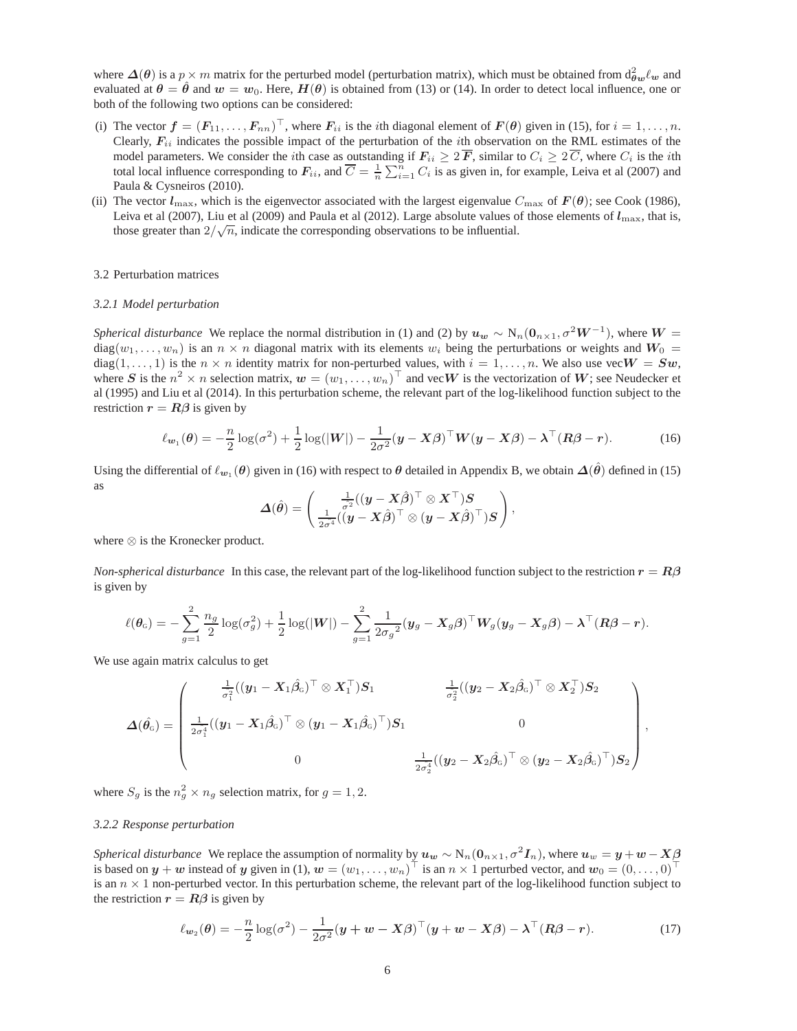where  $\Delta(\theta)$  is a  $p \times m$  matrix for the perturbed model (perturbation matrix), which must be obtained from  $d_{\theta w}^2 \ell_w$  and evaluated at  $\theta = \hat{\theta}$  and  $w = w_0$ . Here,  $H(\theta)$  is obtained from (13) or (14). In order to detect local influence, one or both of the following two options can be considered:

- (i) The vector  $\boldsymbol{f} = (F_{11}, \ldots, F_{nn})^\top$ , where  $F_{ii}$  is the *i*th diagonal element of  $\boldsymbol{F}(\boldsymbol{\theta})$  given in (15), for  $i = 1, \ldots, n$ . Clearly,  $F_{ii}$  indicates the possible impact of the perturbation of the *i*th observation on the RML estimates of the model parameters. We consider the *i*th case as outstanding if  $F_{ii} \geq 2\overline{F}$ , similar to  $C_i \geq 2\overline{C}$ , where  $C_i$  is the *i*th total local influence corresponding to  $F_{ii}$ , and  $\overline{C} = \frac{1}{n} \sum_{i=1}^{n} C_i$  is as given in, for example, Leiva et al (2007) and Paula & Cysneiros (2010).
- (ii) The vector  $l_{\text{max}}$ , which is the eigenvector associated with the largest eigenvalue  $C_{\text{max}}$  of  $\mathbf{F}(\theta)$ ; see Cook (1986), Leiva et al (2007), Liu et al (2009) and Paula et al (2012). Large absolute values of those elements of  $l_{\rm max}$ , that is, those greater than  $2/\sqrt{n}$ , indicate the corresponding observations to be influential.

### 3.2 Perturbation matrices

#### *3.2.1 Model perturbation*

*Spherical disturbance* We replace the normal distribution in (1) and (2) by  $u_w \sim N_n(0_{n \times 1}, \sigma^2 W^{-1})$ , where  $W =$  $diag(w_1, \ldots, w_n)$  is an  $n \times n$  diagonal matrix with its elements  $w_i$  being the perturbations or weights and  $W_0$ diag(1,..., 1) is the  $n \times n$  identity matrix for non-perturbed values, with  $i = 1, \ldots, n$ . We also use vec $W = Sw$ , where S is the  $n^2 \times n$  selection matrix,  $w = (w_1, \dots, w_n)^\top$  and vec $W$  is the vectorization of  $W$ ; see Neudecker et al (1995) and Liu et al (2014). In this perturbation scheme, the relevant part of the log-likelihood function subject to the restriction  $r = R\beta$  is given by

$$
\ell_{\mathbf{w}_1}(\boldsymbol{\theta}) = -\frac{n}{2}\log(\sigma^2) + \frac{1}{2}\log(|W|) - \frac{1}{2\sigma^2}(\mathbf{y} - \mathbf{X}\boldsymbol{\beta})^\top \mathbf{W}(\mathbf{y} - \mathbf{X}\boldsymbol{\beta}) - \boldsymbol{\lambda}^\top (\mathbf{R}\boldsymbol{\beta} - \mathbf{r}).
$$
 (16)

Using the differential of  $\ell_{w_1}(\theta)$  given in (16) with respect to  $\theta$  detailed in Appendix B, we obtain  $\Delta(\hat{\theta})$  defined in (15) as

$$
\boldsymbol{\Delta}(\hat{\boldsymbol{\theta}}) = \left(\frac{\frac{1}{\hat{\sigma^2}}((\boldsymbol{y}-\boldsymbol{X}\hat{\boldsymbol{\beta}})^\top \otimes \boldsymbol{X}^\top)\boldsymbol{S}}{\frac{1}{2\hat{\sigma^4}}((\boldsymbol{y}-\boldsymbol{X}\hat{\boldsymbol{\beta}})^\top \otimes (\boldsymbol{y}-\boldsymbol{X}\hat{\boldsymbol{\beta}})^\top)\boldsymbol{S}}\right),
$$

where ⊗ is the Kronecker product.

*Non-spherical disturbance* In this case, the relevant part of the log-likelihood function subject to the restriction  $r = R\beta$ is given by

$$
\ell(\boldsymbol{\theta}_G) = -\sum_{g=1}^2 \frac{n_g}{2} \log(\sigma_g^2) + \frac{1}{2} \log(|W|) - \sum_{g=1}^2 \frac{1}{2\sigma_g^2} (\boldsymbol{y}_g - \boldsymbol{X}_g \boldsymbol{\beta})^\top \boldsymbol{W}_g (\boldsymbol{y}_g - \boldsymbol{X}_g \boldsymbol{\beta}) - \boldsymbol{\lambda}^\top (\boldsymbol{R}\boldsymbol{\beta} - \boldsymbol{r}).
$$

We use again matrix calculus to get

$$
\boldsymbol{\Delta}(\hat{\theta_\mathrm{G}}) = \begin{pmatrix} \frac{1}{\sigma_1^2}((y_1 - X_1\hat{\beta}_\mathrm{G})^\top \otimes X_1^\top)S_1 & \frac{1}{\sigma_2^2}((y_2 - X_2\hat{\beta}_\mathrm{G})^\top \otimes X_2^\top)S_2 \\[1.5ex] \frac{1}{2\sigma_1^4}((y_1 - X_1\hat{\beta}_\mathrm{G})^\top \otimes (y_1 - X_1\hat{\beta}_\mathrm{G})^\top)S_1 & 0 \\[1.5ex] 0 & \frac{1}{2\sigma_2^4}((y_2 - X_2\hat{\beta}_\mathrm{G})^\top \otimes (y_2 - X_2\hat{\beta}_\mathrm{G})^\top)S_2 \end{pmatrix},
$$

where  $S_g$  is the  $n_g^2 \times n_g$  selection matrix, for  $g = 1, 2$ .

# *3.2.2 Response perturbation*

*Spherical disturbance* We replace the assumption of normality by  $u_w \sim N_n(0_{n \times 1}, \sigma^2 I_n)$ , where  $u_w = y + w - X\beta$ is based on  $y + w$  instead of y given in (1),  $w = (w_1, \dots, w_n)^\top$  is an  $n \times 1$  perturbed vector, and  $w_0 = (0, \dots, 0)^\top$ is an  $n \times 1$  non-perturbed vector. In this perturbation scheme, the relevant part of the log-likelihood function subject to the restriction  $r = R\beta$  is given by

$$
\ell_{\mathbf{w}_2}(\boldsymbol{\theta}) = -\frac{n}{2}\log(\sigma^2) - \frac{1}{2\sigma^2}(\mathbf{y} + \mathbf{w} - \mathbf{X}\boldsymbol{\beta})^\top(\mathbf{y} + \mathbf{w} - \mathbf{X}\boldsymbol{\beta}) - \boldsymbol{\lambda}^\top(\mathbf{R}\boldsymbol{\beta} - \mathbf{r}).
$$
 (17)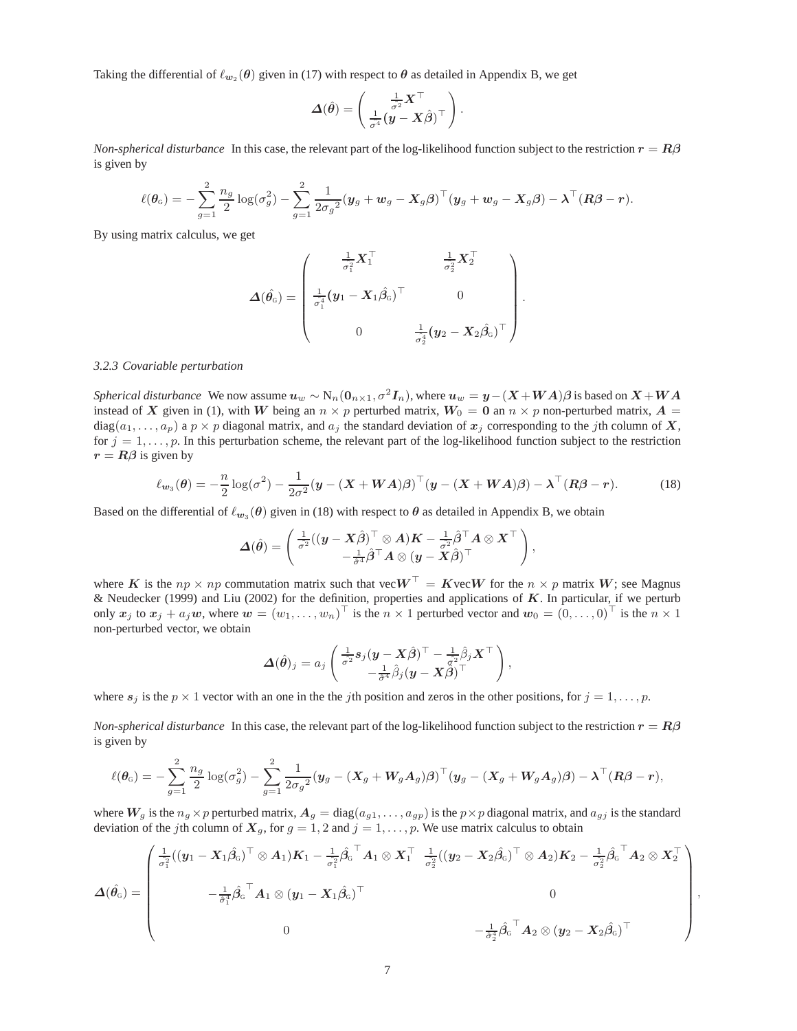Taking the differential of  $\ell_{w_2}(\theta)$  given in (17) with respect to  $\theta$  as detailed in Appendix B, we get

$$
\boldsymbol{\varDelta}(\hat{\boldsymbol{\theta}}) = \begin{pmatrix} \frac{1}{\hat{\sigma^2}} \boldsymbol{X}^\top \\ \frac{1}{\hat{\sigma^4}} (\boldsymbol{y} - \boldsymbol{X}\hat{\boldsymbol{\beta}})^\top \end{pmatrix}.
$$

*Non-spherical disturbance* In this case, the relevant part of the log-likelihood function subject to the restriction  $r = R\beta$ is given by

$$
\ell(\boldsymbol{\theta}_G) = -\sum_{g=1}^2 \frac{n_g}{2} \log(\sigma_g^2) - \sum_{g=1}^2 \frac{1}{2\sigma_g^2} (\boldsymbol{y}_g + \boldsymbol{w}_g - \boldsymbol{X}_g \boldsymbol{\beta})^\top (\boldsymbol{y}_g + \boldsymbol{w}_g - \boldsymbol{X}_g \boldsymbol{\beta}) - \boldsymbol{\lambda}^\top (\boldsymbol{R}\boldsymbol{\beta} - \boldsymbol{r}).
$$

By using matrix calculus, we get

$$
\boldsymbol{\varDelta}(\hat{\boldsymbol{\theta}_\mathrm{G}})=\begin{pmatrix} \frac{\frac{1}{\sigma_1^2}\boldsymbol{X}_1^\top}{\frac{1}{\sigma_1^2}} & \frac{\frac{1}{\sigma_2^2}\boldsymbol{X}_2^\top}{\frac{1}{\sigma_2^2}} \\[1em] \frac{\frac{1}{\sigma_1^4}(\boldsymbol{y}_1-\boldsymbol{X}_1\hat{\boldsymbol{\beta}_\mathrm{G}})^\top}{0} & 0 \\[1em] 0 & \frac{1}{\sigma_2^4}(\boldsymbol{y}_2-\boldsymbol{X}_2\hat{\boldsymbol{\beta}_\mathrm{G}})^\top \end{pmatrix}.
$$

# *3.2.3 Covariable perturbation*

*Spherical disturbance* We now assume  $u_w \sim N_n(0_{n \times 1}, \sigma^2 I_n)$ , where  $u_w = y - (X + WA)\beta$  is based on  $X + WA$ instead of X given in (1), with W being an  $n \times p$  perturbed matrix,  $W_0 = 0$  an  $n \times p$  non-perturbed matrix,  $A =$  $diag(a_1, \ldots, a_p)$  a  $p \times p$  diagonal matrix, and  $a_j$  the standard deviation of  $x_j$  corresponding to the jth column of X, for  $j = 1, \ldots, p$ . In this perturbation scheme, the relevant part of the log-likelihood function subject to the restriction  $r = R\beta$  is given by

$$
\ell_{\mathbf{w}_3}(\boldsymbol{\theta}) = -\frac{n}{2}\log(\sigma^2) - \frac{1}{2\sigma^2}(\mathbf{y} - (\mathbf{X} + \mathbf{W}\mathbf{A})\boldsymbol{\beta})^\top(\mathbf{y} - (\mathbf{X} + \mathbf{W}\mathbf{A})\boldsymbol{\beta}) - \boldsymbol{\lambda}^\top(\mathbf{R}\boldsymbol{\beta} - \mathbf{r}).
$$
 (18)

Based on the differential of  $\ell_{w_3}(\theta)$  given in (18) with respect to  $\theta$  as detailed in Appendix B, we obtain

$$
\mathbf{\Delta}(\hat{\theta}) = \begin{pmatrix} \frac{1}{\sigma^2}((\boldsymbol{y} - \boldsymbol{X}\hat{\beta})^\top \otimes \boldsymbol{A})\boldsymbol{K} - \frac{1}{\sigma^2}\hat{\beta}^\top \boldsymbol{A} \otimes \boldsymbol{X}^\top \\ -\frac{1}{\hat{\sigma}^4}\hat{\beta}^\top \boldsymbol{A} \otimes (\boldsymbol{y} - \boldsymbol{X}\hat{\beta})^\top \end{pmatrix},
$$

where K is the  $np \times np$  commutation matrix such that vec $W^{\top} = K$ vec $W$  for the  $n \times p$  matrix W; see Magnus & Neudecker (1999) and Liu (2002) for the definition, properties and applications of  $K$ . In particular, if we perturb only  $x_j$  to  $x_j + a_j w$ , where  $w = (w_1, \dots, w_n)^\top$  is the  $n \times 1$  perturbed vector and  $w_0 = (0, \dots, 0)^\top$  is the  $n \times 1$ non-perturbed vector, we obtain

$$
\boldsymbol{\Delta}(\hat{\boldsymbol{\theta}})_j = a_j \begin{pmatrix} \frac{1}{\sigma^2} \boldsymbol{s}_j (\boldsymbol{y} - \boldsymbol{X}\hat{\boldsymbol{\beta}})^\top - \frac{1}{\sigma^2} \hat{\beta}_j \boldsymbol{X}^\top \\ - \frac{1}{\hat{\sigma}^4} \hat{\beta}_j (\boldsymbol{y} - \boldsymbol{X}\hat{\boldsymbol{\beta}})^\top \end{pmatrix},
$$

where  $s_j$  is the  $p \times 1$  vector with an one in the the jth position and zeros in the other positions, for  $j = 1, \ldots, p$ .

*Non-spherical disturbance* In this case, the relevant part of the log-likelihood function subject to the restriction  $r = R\beta$ is given by

$$
\ell(\theta_{\mathsf{G}}) = -\sum_{g=1}^{2} \frac{n_g}{2} \log(\sigma_g^2) - \sum_{g=1}^{2} \frac{1}{2\sigma_g^2} (\boldsymbol{y}_g - (\boldsymbol{X}_g + \boldsymbol{W}_g \boldsymbol{A}_g) \boldsymbol{\beta})^{\top} (\boldsymbol{y}_g - (\boldsymbol{X}_g + \boldsymbol{W}_g \boldsymbol{A}_g) \boldsymbol{\beta}) - \boldsymbol{\lambda}^{\top} (\boldsymbol{R}\boldsymbol{\beta} - \boldsymbol{r}),
$$

where  $W_g$  is the  $n_g \times p$  perturbed matrix,  $A_g = \text{diag}(a_{g1}, \dots, a_{gp})$  is the  $p \times p$  diagonal matrix, and  $a_{gj}$  is the standard deviation of the jth column of  $X_g$ , for  $g = 1, 2$  and  $j = 1, \ldots, p$ . We use matrix calculus to obtain

$$
\boldsymbol{\Delta}(\hat{\theta_{\text{G}}}) = \begin{pmatrix} \frac{1}{\sigma_1^2}((y_1 - X_1\hat{\beta_{\text{G}}})^{\top} \otimes A_1)K_1 - \frac{1}{\sigma_1^2}\hat{\beta_{\text{G}}}^{\top}A_1 \otimes X_1^{\top} & \frac{1}{\sigma_2^2}((y_2 - X_2\hat{\beta_{\text{G}}})^{\top} \otimes A_2)K_2 - \frac{1}{\sigma_2^2}\hat{\beta_{\text{G}}}^{\top}A_2 \otimes X_2^{\top} \\ & & - \frac{1}{\sigma_1^4}\hat{\beta_{\text{G}}}^{\top}A_1 \otimes (y_1 - X_1\hat{\beta_{\text{G}}})^{\top} & 0 \\ & & 0 & - \frac{1}{\sigma_2^4}\hat{\beta_{\text{G}}}^{\top}A_2 \otimes (y_2 - X_2\hat{\beta_{\text{G}}})^{\top} \end{pmatrix}
$$

,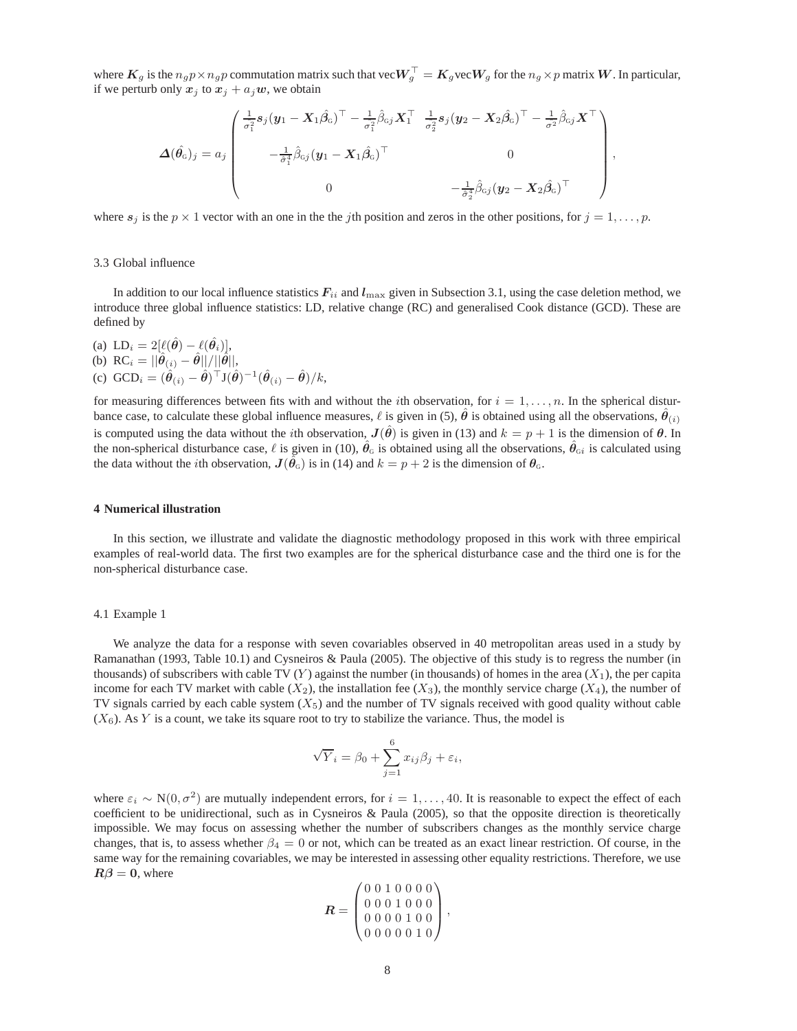where  $K_g$  is the  $n_g p \times n_g p$  commutation matrix such that vec $W_g^\top = K_g$ vec $W_g$  for the  $n_g \times p$  matrix  $W$ . In particular, if we perturb only  $x_j$  to  $x_j + a_j w$ , we obtain

$$
\Delta(\hat{\theta}_G)_j = a_j \begin{pmatrix} \frac{1}{\hat{\sigma}_1^2} s_j (\mathbf{y}_1 - \mathbf{X}_1 \hat{\beta}_G)^\top - \frac{1}{\hat{\sigma}_1^2} \hat{\beta}_{Gj} \mathbf{X}_1^\top & \frac{1}{\hat{\sigma}_2^2} s_j (\mathbf{y}_2 - \mathbf{X}_2 \hat{\beta}_G)^\top - \frac{1}{\hat{\sigma}^2} \hat{\beta}_{Gj} \mathbf{X}^\top \\ & - \frac{1}{\hat{\sigma}_1^4} \hat{\beta}_{Gj} (\mathbf{y}_1 - \mathbf{X}_1 \hat{\beta}_G)^\top & 0 \\ 0 & - \frac{1}{\hat{\sigma}_2^4} \hat{\beta}_{Gj} (\mathbf{y}_2 - \mathbf{X}_2 \hat{\beta}_G)^\top \end{pmatrix}
$$

,

where  $s_j$  is the  $p \times 1$  vector with an one in the the jth position and zeros in the other positions, for  $j = 1, \ldots, p$ .

## 3.3 Global influence

In addition to our local influence statistics  $F_{ii}$  and  $l_{\text{max}}$  given in Subsection 3.1, using the case deletion method, we introduce three global influence statistics: LD, relative change (RC) and generalised Cook distance (GCD). These are defined by

(a)  $LD_i = 2[\ell(\hat{\theta}) - \ell(\hat{\theta}_i)],$ (b) RC<sub>i</sub> =  $||\hat{\theta}_{(i)} - \hat{\theta}||/||\hat{\theta}||$ , (c)  $GCD_i = (\hat{\theta}_{(i)} - \hat{\theta})^{\top} J(\hat{\theta})^{-1} (\hat{\theta}_{(i)} - \hat{\theta})/k,$ 

for measuring differences between fits with and without the *i*th observation, for  $i = 1, \ldots, n$ . In the spherical disturbance case, to calculate these global influence measures,  $\ell$  is given in (5),  $\hat{\theta}$  is obtained using all the observations,  $\hat{\theta}_{(i)}$ is computed using the data without the *i*th observation,  $J(\hat{\theta})$  is given in (13) and  $k = p + 1$  is the dimension of  $\theta$ . In the non-spherical disturbance case,  $\ell$  is given in (10),  $\hat{\theta}_G$  is obtained using all the observations,  $\hat{\theta}_{Gi}$  is calculated using the data without the *i*th observation,  $J(\hat{\theta}_G)$  is in (14) and  $k = p + 2$  is the dimension of  $\theta_G$ .

## **4 Numerical illustration**

In this section, we illustrate and validate the diagnostic methodology proposed in this work with three empirical examples of real-world data. The first two examples are for the spherical disturbance case and the third one is for the non-spherical disturbance case.

#### 4.1 Example 1

We analyze the data for a response with seven covariables observed in 40 metropolitan areas used in a study by Ramanathan (1993, Table 10.1) and Cysneiros & Paula (2005). The objective of this study is to regress the number (in thousands) of subscribers with cable TV (Y) against the number (in thousands) of homes in the area  $(X_1)$ , the per capita income for each TV market with cable  $(X_2)$ , the installation fee  $(X_3)$ , the monthly service charge  $(X_4)$ , the number of TV signals carried by each cable system  $(X_5)$  and the number of TV signals received with good quality without cable  $(X<sub>6</sub>)$ . As Y is a count, we take its square root to try to stabilize the variance. Thus, the model is

$$
\sqrt{Y}_i = \beta_0 + \sum_{j=1}^6 x_{ij}\beta_j + \varepsilon_i,
$$

where  $\varepsilon_i \sim N(0, \sigma^2)$  are mutually independent errors, for  $i = 1, ..., 40$ . It is reasonable to expect the effect of each coefficient to be unidirectional, such as in Cysneiros & Paula (2005), so that the opposite direction is theoretically impossible. We may focus on assessing whether the number of subscribers changes as the monthly service charge changes, that is, to assess whether  $\beta_4 = 0$  or not, which can be treated as an exact linear restriction. Of course, in the same way for the remaining covariables, we may be interested in assessing other equality restrictions. Therefore, we use  $R\beta = 0$ , where

$$
\boldsymbol{R} = \begin{pmatrix} 0 & 0 & 1 & 0 & 0 & 0 & 0 \\ 0 & 0 & 0 & 1 & 0 & 0 & 0 \\ 0 & 0 & 0 & 0 & 1 & 0 & 0 \\ 0 & 0 & 0 & 0 & 0 & 1 & 0 \end{pmatrix},
$$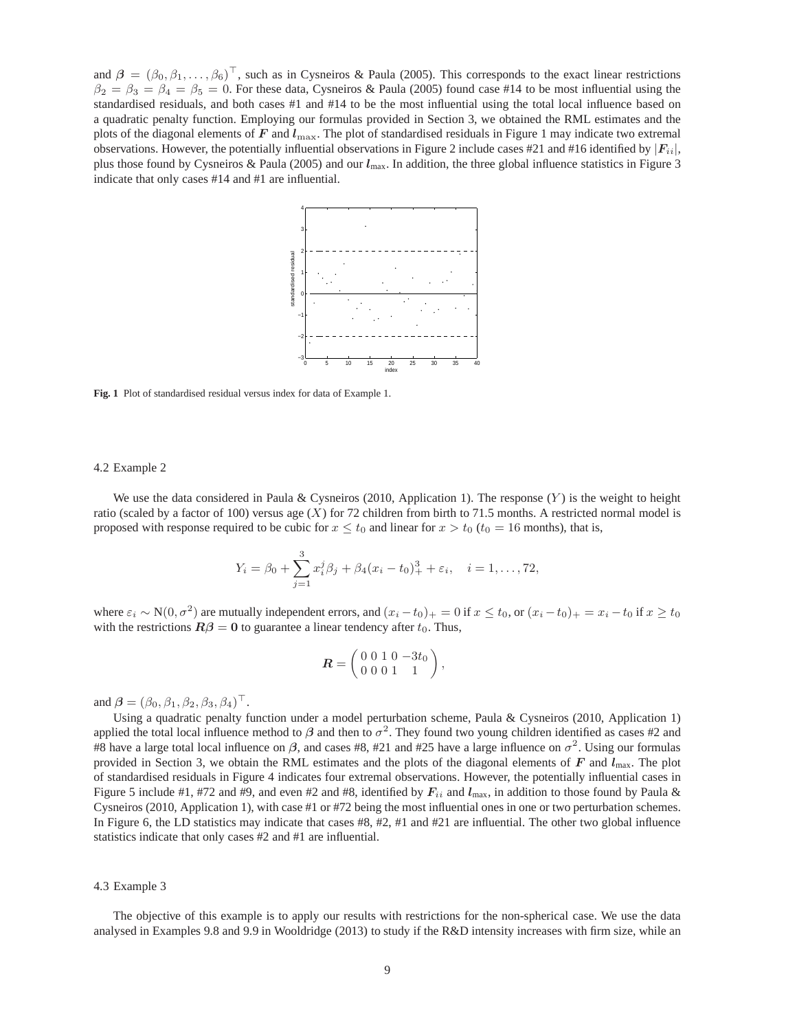and  $\beta = (\beta_0, \beta_1, \dots, \beta_6)^\top$ , such as in Cysneiros & Paula (2005). This corresponds to the exact linear restrictions  $\beta_2 = \beta_3 = \beta_4 = \beta_5 = 0$ . For these data, Cysneiros & Paula (2005) found case #14 to be most influential using the standardised residuals, and both cases #1 and #14 to be the most influential using the total local influence based on a quadratic penalty function. Employing our formulas provided in Section 3, we obtained the RML estimates and the plots of the diagonal elements of  $F$  and  $l_{\text{max}}$ . The plot of standardised residuals in Figure 1 may indicate two extremal observations. However, the potentially influential observations in Figure 2 include cases #21 and #16 identified by  $|F_{i,i}|$ , plus those found by Cysneiros & Paula (2005) and our  $l_{\text{max}}$ . In addition, the three global influence statistics in Figure 3 indicate that only cases #14 and #1 are influential.



**Fig. 1** Plot of standardised residual versus index for data of Example 1.

#### 4.2 Example 2

We use the data considered in Paula & Cysneiros (2010, Application 1). The response  $(Y)$  is the weight to height ratio (scaled by a factor of 100) versus age  $(X)$  for 72 children from birth to 71.5 months. A restricted normal model is proposed with response required to be cubic for  $x \le t_0$  and linear for  $x > t_0$  ( $t_0 = 16$  months), that is,

$$
Y_i = \beta_0 + \sum_{j=1}^3 x_i^j \beta_j + \beta_4 (x_i - t_0)_+^3 + \varepsilon_i, \quad i = 1, \dots, 72,
$$

where  $\varepsilon_i \sim N(0, \sigma^2)$  are mutually independent errors, and  $(x_i - t_0)_+ = 0$  if  $x \le t_0$ , or  $(x_i - t_0)_+ = x_i - t_0$  if  $x \ge t_0$ with the restrictions  $\mathbf{R}\beta = \mathbf{0}$  to guarantee a linear tendency after  $t_0$ . Thus,

$$
\boldsymbol{R} = \left(\begin{array}{rrr} 0 & 0 & 1 & 0 & -3t_0 \\ 0 & 0 & 0 & 1 & 1 \end{array}\right),
$$

and  $\boldsymbol{\beta} = (\beta_0, \beta_1, \beta_2, \beta_3, \beta_4)^\top$ .

Using a quadratic penalty function under a model perturbation scheme, Paula & Cysneiros (2010, Application 1) applied the total local influence method to  $\beta$  and then to  $\sigma^2$ . They found two young children identified as cases #2 and #8 have a large total local influence on  $\beta$ , and cases #8, #21 and #25 have a large influence on  $\sigma^2$ . Using our formulas provided in Section 3, we obtain the RML estimates and the plots of the diagonal elements of  $F$  and  $l_{\text{max}}$ . The plot of standardised residuals in Figure 4 indicates four extremal observations. However, the potentially influential cases in Figure 5 include #1, #72 and #9, and even #2 and #8, identified by  $F_{ii}$  and  $I_{\text{max}}$ , in addition to those found by Paula & Cysneiros (2010, Application 1), with case #1 or #72 being the most influential ones in one or two perturbation schemes. In Figure 6, the LD statistics may indicate that cases #8, #2, #1 and #21 are influential. The other two global influence statistics indicate that only cases #2 and #1 are influential.

# 4.3 Example 3

The objective of this example is to apply our results with restrictions for the non-spherical case. We use the data analysed in Examples 9.8 and 9.9 in Wooldridge (2013) to study if the R&D intensity increases with firm size, while an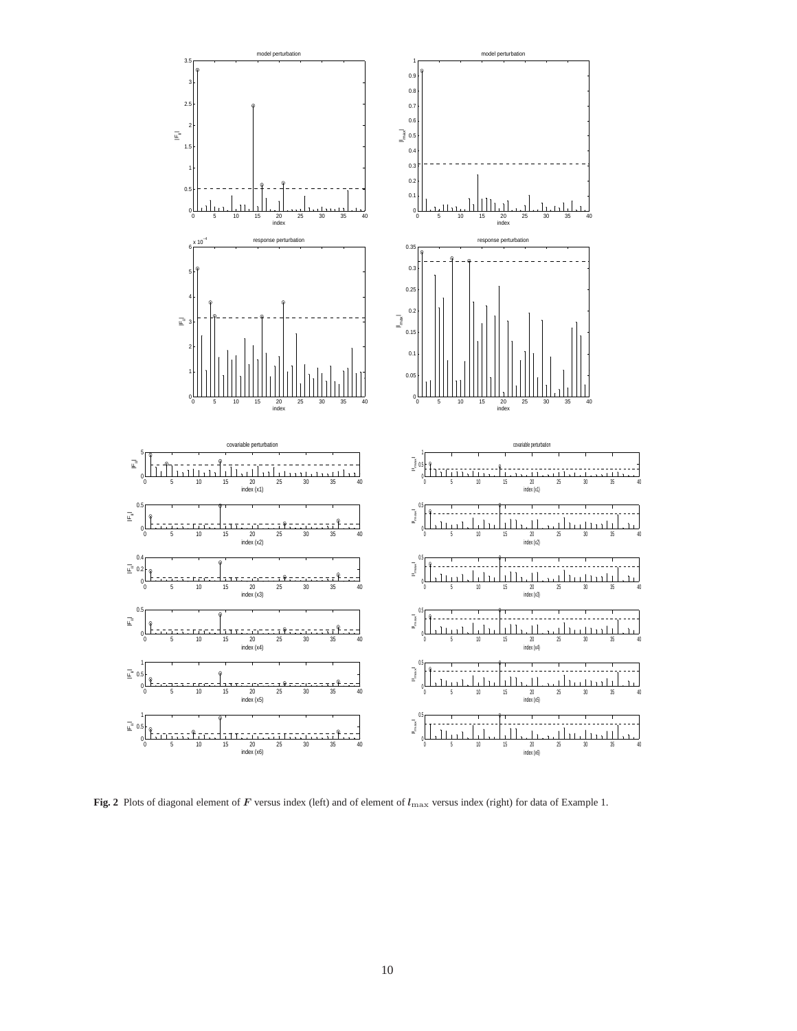

Fig. 2 Plots of diagonal element of F versus index (left) and of element of  $l_{\text{max}}$  versus index (right) for data of Example 1.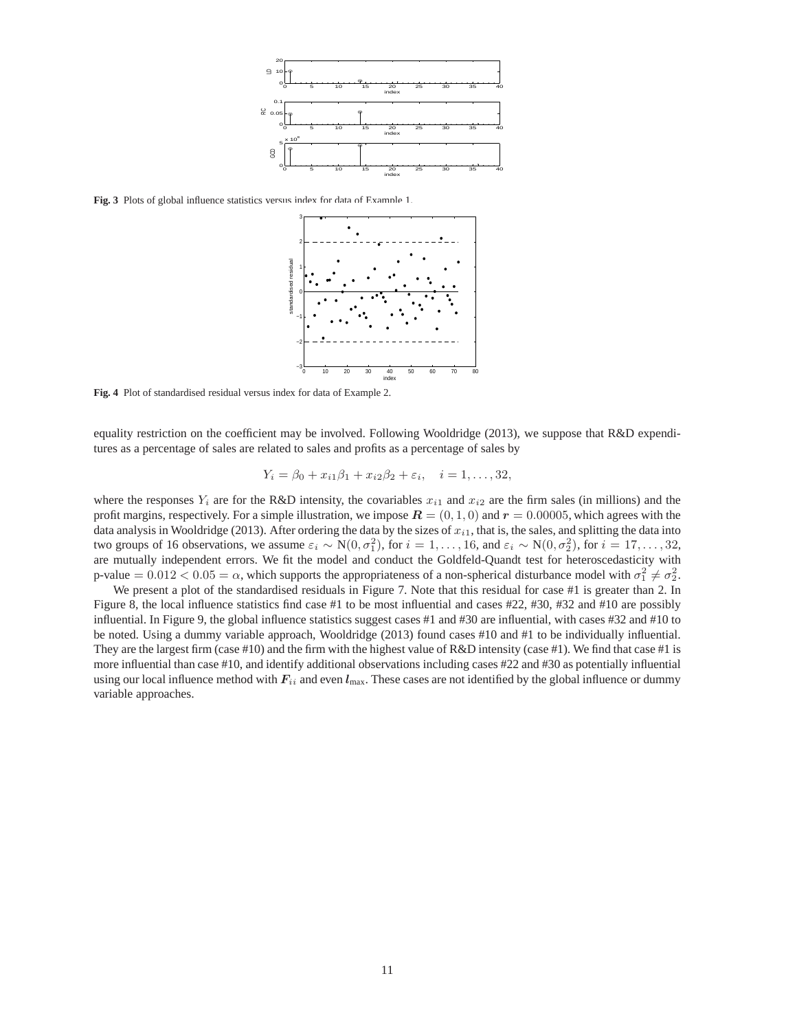

**Fig. 3** Plots of global influence statistics versus index for data of Example 1.



**Fig. 4** Plot of standardised residual versus index for data of Example 2.

equality restriction on the coefficient may be involved. Following Wooldridge (2013), we suppose that R&D expenditures as a percentage of sales are related to sales and profits as a percentage of sales by

$$
Y_i = \beta_0 + x_{i1}\beta_1 + x_{i2}\beta_2 + \varepsilon_i, \quad i = 1, ..., 32,
$$

where the responses  $Y_i$  are for the R&D intensity, the covariables  $x_{i1}$  and  $x_{i2}$  are the firm sales (in millions) and the profit margins, respectively. For a simple illustration, we impose  $\mathbf{R} = (0, 1, 0)$  and  $\mathbf{r} = 0.00005$ , which agrees with the data analysis in Wooldridge (2013). After ordering the data by the sizes of  $x_{i1}$ , that is, the sales, and splitting the data into two groups of 16 observations, we assume  $\varepsilon_i \sim N(0, \sigma_1^2)$ , for  $i = 1, ..., 16$ , and  $\varepsilon_i \sim N(0, \sigma_2^2)$ , for  $i = 17, ..., 32$ , are mutually independent errors. We fit the model and conduct the Goldfeld-Quandt test for heteroscedasticity with p-value  $= 0.012 < 0.05 = \alpha$ , which supports the appropriateness of a non-spherical disturbance model with  $\sigma_1^2 \neq \sigma_2^2$ .

We present a plot of the standardised residuals in Figure 7. Note that this residual for case #1 is greater than 2. In Figure 8, the local influence statistics find case #1 to be most influential and cases #22, #30, #32 and #10 are possibly influential. In Figure 9, the global influence statistics suggest cases #1 and #30 are influential, with cases #32 and #10 to be noted. Using a dummy variable approach, Wooldridge (2013) found cases #10 and #1 to be individually influential. They are the largest firm (case #10) and the firm with the highest value of  $R&D$  intensity (case #1). We find that case #1 is more influential than case #10, and identify additional observations including cases #22 and #30 as potentially influential using our local influence method with  $F_{ii}$  and even  $l_{\text{max}}$ . These cases are not identified by the global influence or dummy variable approaches.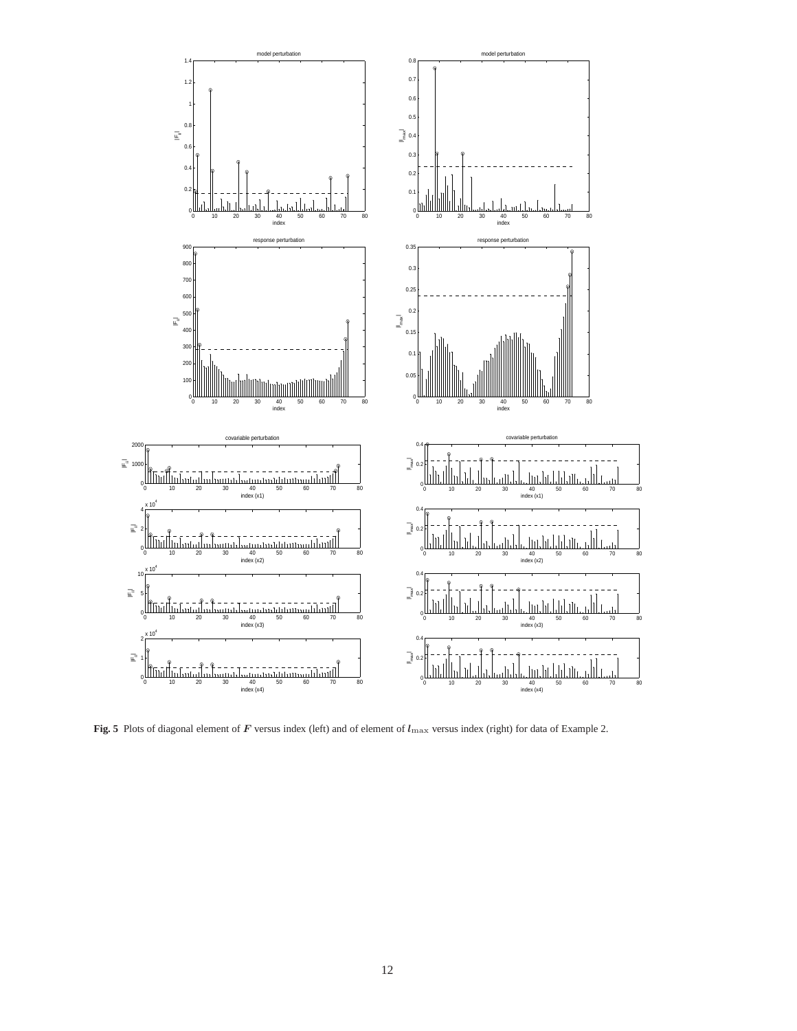

Fig. 5 Plots of diagonal element of F versus index (left) and of element of  $l_{\rm max}$  versus index (right) for data of Example 2.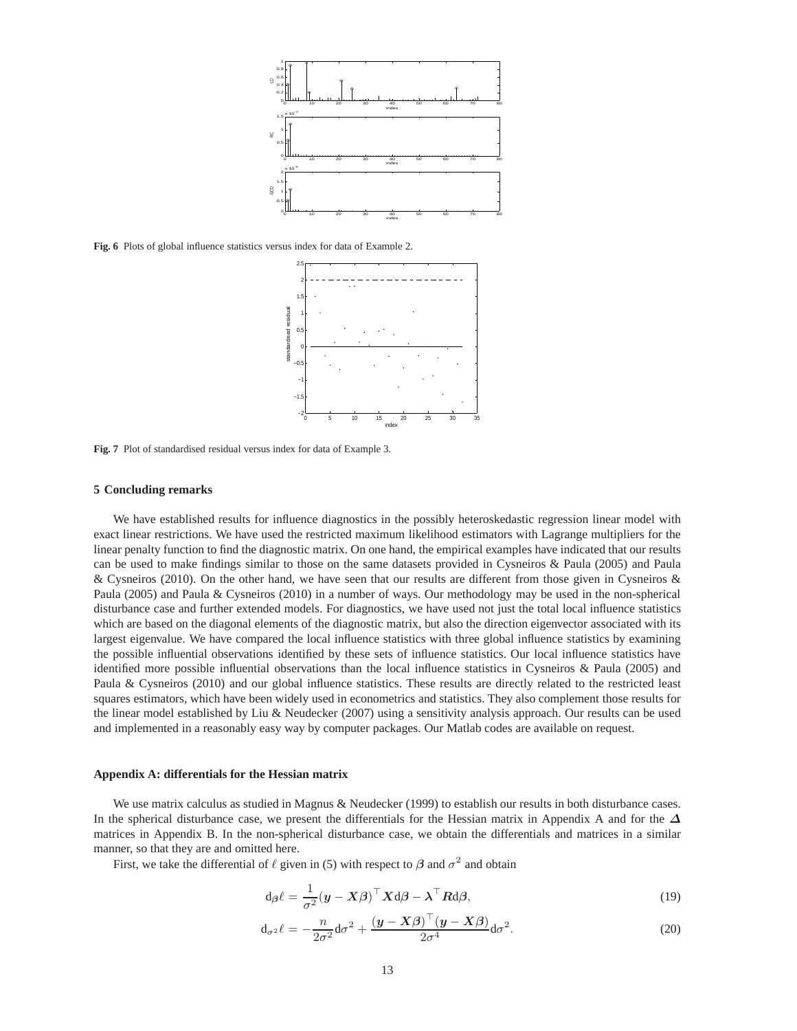

**Fig. 6** Plots of global influence statistics versus index for data of Example 2.



**Fig. 7** Plot of standardised residual versus index for data of Example 3.

#### **5 Concluding remarks**

We have established results for influence diagnostics in the possibly heteroskedastic regression linear model with exact linear restrictions. We have used the restricted maximum likelihood estimators with Lagrange multipliers for the linear penalty function to find the diagnostic matrix. On one hand, the empirical examples have indicated that our results can be used to make findings similar to those on the same datasets provided in Cysneiros & Paula (2005) and Paula & Cysneiros (2010). On the other hand, we have seen that our results are different from those given in Cysneiros & Paula (2005) and Paula & Cysneiros (2010) in a number of ways. Our methodology may be used in the non-spherical disturbance case and further extended models. For diagnostics, we have used not just the total local influence statistics which are based on the diagonal elements of the diagnostic matrix, but also the direction eigenvector associated with its largest eigenvalue. We have compared the local influence statistics with three global influence statistics by examining the possible influential observations identified by these sets of influence statistics. Our local influence statistics have identified more possible influential observations than the local influence statistics in Cysneiros & Paula (2005) and Paula & Cysneiros (2010) and our global influence statistics. These results are directly related to the restricted least squares estimators, which have been widely used in econometrics and statistics. They also complement those results for the linear model established by Liu & Neudecker (2007) using a sensitivity analysis approach. Our results can be used and implemented in a reasonably easy way by computer packages. Our Matlab codes are available on request.

# **Appendix A: differentials for the Hessian matrix**

We use matrix calculus as studied in Magnus & Neudecker (1999) to establish our results in both disturbance cases. In the spherical disturbance case, we present the differentials for the Hessian matrix in Appendix A and for the  $\Delta$ matrices in Appendix B. In the non-spherical disturbance case, we obtain the differentials and matrices in a similar manner, so that they are and omitted here.

First, we take the differential of  $\ell$  given in (5) with respect to  $\beta$  and  $\sigma^2$  and obtain

$$
d_{\beta}\ell = \frac{1}{\sigma^2}(\boldsymbol{y} - \boldsymbol{X}\boldsymbol{\beta})^{\top}\boldsymbol{X}d\boldsymbol{\beta} - \boldsymbol{\lambda}^{\top}\boldsymbol{R}d\boldsymbol{\beta},
$$
\n(19)

$$
\mathrm{d}_{\sigma^2}\ell = -\frac{n}{2\sigma^2}\mathrm{d}\sigma^2 + \frac{(\mathbf{y} - \mathbf{X}\boldsymbol{\beta})^\top(\mathbf{y} - \mathbf{X}\boldsymbol{\beta})}{2\sigma^4}\mathrm{d}\sigma^2. \tag{20}
$$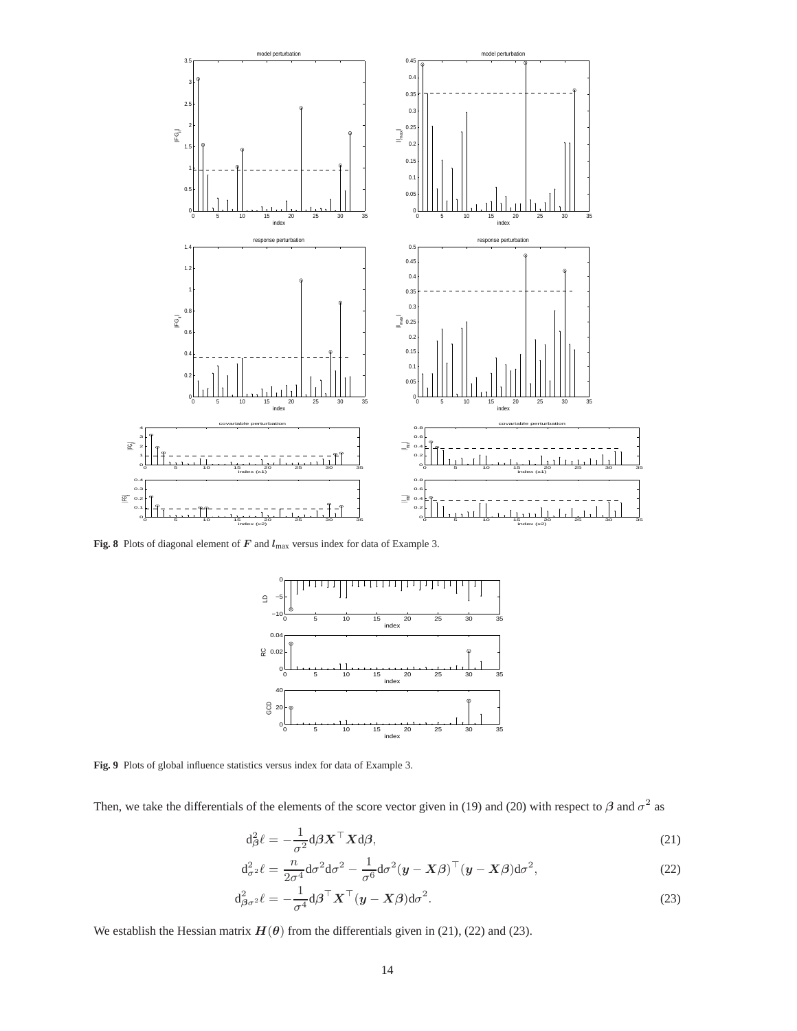

Fig. 8 Plots of diagonal element of F and  $l_{\text{max}}$  versus index for data of Example 3.



**Fig. 9** Plots of global influence statistics versus index for data of Example 3.

Then, we take the differentials of the elements of the score vector given in (19) and (20) with respect to  $\beta$  and  $\sigma^2$  as

$$
d_{\beta}^{2}\ell = -\frac{1}{\sigma^{2}}d\beta \boldsymbol{X}^{\top}\boldsymbol{X}d\beta,
$$
\n(21)

$$
d_{\sigma^2}^2 \ell = \frac{n}{2\sigma^4} d\sigma^2 d\sigma^2 - \frac{1}{\sigma^6} d\sigma^2 (\boldsymbol{y} - \boldsymbol{X}\boldsymbol{\beta})^\top (\boldsymbol{y} - \boldsymbol{X}\boldsymbol{\beta}) d\sigma^2, \tag{22}
$$

$$
d_{\beta\sigma^2}^2 \ell = -\frac{1}{\sigma^4} d\beta^\top \boldsymbol{X}^\top (\boldsymbol{y} - \boldsymbol{X}\beta) d\sigma^2.
$$
 (23)

We establish the Hessian matrix  $H(\theta)$  from the differentials given in (21), (22) and (23).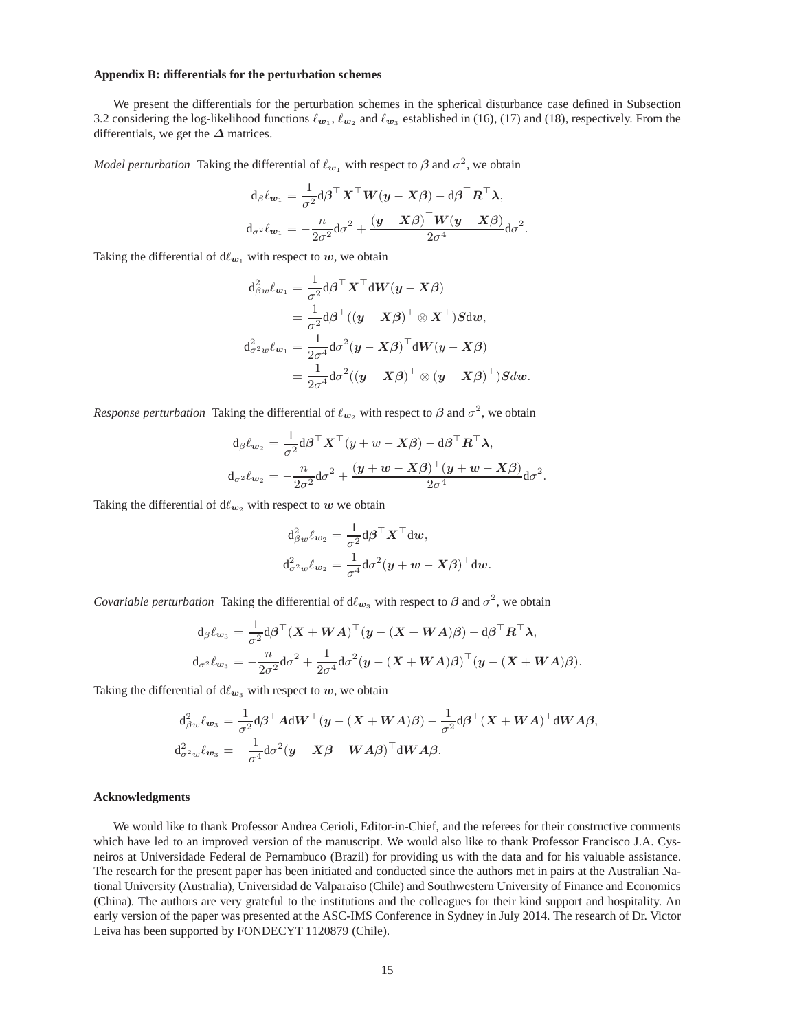#### **Appendix B: differentials for the perturbation schemes**

We present the differentials for the perturbation schemes in the spherical disturbance case defined in Subsection 3.2 considering the log-likelihood functions  $\ell_{w_1}, \ell_{w_2}$  and  $\ell_{w_3}$  established in (16), (17) and (18), respectively. From the differentials, we get the  $\Delta$  matrices.

*Model perturbation* Taking the differential of  $\ell_{w_1}$  with respect to  $\beta$  and  $\sigma^2$ , we obtain

$$
d_{\beta} \ell_{w_1} = \frac{1}{\sigma^2} d_{\beta} \sigma^{\top} X^{\top} W(y - X\beta) - d_{\beta} \sigma^{\top} R^{\top} \lambda,
$$
  

$$
d_{\sigma^2} \ell_{w_1} = -\frac{n}{2\sigma^2} d_{\sigma^2} + \frac{(y - X\beta)^{\top} W(y - X\beta)}{2\sigma^4} d_{\sigma^2}.
$$

Taking the differential of  $d\ell_{w_1}$  with respect to w, we obtain

$$
d_{\beta w}^2 \ell_{\boldsymbol{w}_1} = \frac{1}{\sigma^2} d\boldsymbol{\beta}^\top \boldsymbol{X}^\top d\boldsymbol{W} (\boldsymbol{y} - \boldsymbol{X} \boldsymbol{\beta})
$$
  
\n
$$
= \frac{1}{\sigma^2} d\boldsymbol{\beta}^\top ((\boldsymbol{y} - \boldsymbol{X} \boldsymbol{\beta})^\top \otimes \boldsymbol{X}^\top) \boldsymbol{S} d\boldsymbol{w},
$$
  
\n
$$
d_{\sigma^2 w}^2 \ell_{\boldsymbol{w}_1} = \frac{1}{2\sigma^4} d\sigma^2 (\boldsymbol{y} - \boldsymbol{X} \boldsymbol{\beta})^\top d\boldsymbol{W} (\boldsymbol{y} - \boldsymbol{X} \boldsymbol{\beta})
$$
  
\n
$$
= \frac{1}{2\sigma^4} d\sigma^2 ((\boldsymbol{y} - \boldsymbol{X} \boldsymbol{\beta})^\top \otimes (\boldsymbol{y} - \boldsymbol{X} \boldsymbol{\beta})^\top) \boldsymbol{S} d\boldsymbol{w}.
$$

*Response perturbation* Taking the differential of  $\ell_{w_2}$  with respect to  $\beta$  and  $\sigma^2$ , we obtain

$$
d_{\beta}\ell_{\mathbf{w}_2} = \frac{1}{\sigma^2} d_{\beta} \mathbf{X}^{\top} (\mathbf{y} + \mathbf{w} - \mathbf{X}\beta) - d_{\beta} \mathbf{X}^{\top} \mathbf{A},
$$
  

$$
d_{\sigma^2}\ell_{\mathbf{w}_2} = -\frac{n}{2\sigma^2} d_{\sigma^2} + \frac{(\mathbf{y} + \mathbf{w} - \mathbf{X}\beta)^{\top} (\mathbf{y} + \mathbf{w} - \mathbf{X}\beta)}{2\sigma^4} d_{\sigma^2}.
$$

Taking the differential of  $d\ell_{w_2}$  with respect to w we obtain

$$
\begin{aligned} \mathrm{d}^2_{\beta w} \ell_{\bm{w}_2} &= \frac{1}{\sigma^2} \mathrm{d} \bm{\beta}^\top \bm{X}^\top \mathrm{d} \bm{w}, \\ \mathrm{d}^2_{\sigma^2 w} \ell_{\bm{w}_2} &= \frac{1}{\sigma^4} \mathrm{d} \sigma^2 (\bm{y} + \bm{w} - \bm{X} \bm{\beta})^\top \mathrm{d} \bm{w}. \end{aligned}
$$

*Covariable perturbation* Taking the differential of  $d\ell_{w_3}$  with respect to  $\beta$  and  $\sigma^2$ , we obtain

$$
d_{\beta}\ell_{w_3} = \frac{1}{\sigma^2} d\beta^{\top} (X + WA)^{\top} (y - (X + WA)\beta) - d\beta^{\top} R^{\top} \lambda,
$$
  

$$
d_{\sigma^2}\ell_{w_3} = -\frac{n}{2\sigma^2} d\sigma^2 + \frac{1}{2\sigma^4} d\sigma^2 (y - (X + WA)\beta)^{\top} (y - (X + WA)\beta).
$$

Taking the differential of  $d\ell_{w_3}$  with respect to w, we obtain

$$
d_{\beta w}^2 \ell_{w_3} = \frac{1}{\sigma^2} d\beta^\top A dW^\top (y - (X + WA)\beta) - \frac{1}{\sigma^2} d\beta^\top (X + WA)^\top dWA\beta,
$$
  

$$
d_{\sigma^2 w}^2 \ell_{w_3} = -\frac{1}{\sigma^4} d\sigma^2 (y - X\beta - WA\beta)^\top dWA\beta.
$$

## **Acknowledgments**

We would like to thank Professor Andrea Cerioli, Editor-in-Chief, and the referees for their constructive comments which have led to an improved version of the manuscript. We would also like to thank Professor Francisco J.A. Cysneiros at Universidade Federal de Pernambuco (Brazil) for providing us with the data and for his valuable assistance. The research for the present paper has been initiated and conducted since the authors met in pairs at the Australian National University (Australia), Universidad de Valparaiso (Chile) and Southwestern University of Finance and Economics (China). The authors are very grateful to the institutions and the colleagues for their kind support and hospitality. An early version of the paper was presented at the ASC-IMS Conference in Sydney in July 2014. The research of Dr. Victor Leiva has been supported by FONDECYT 1120879 (Chile).